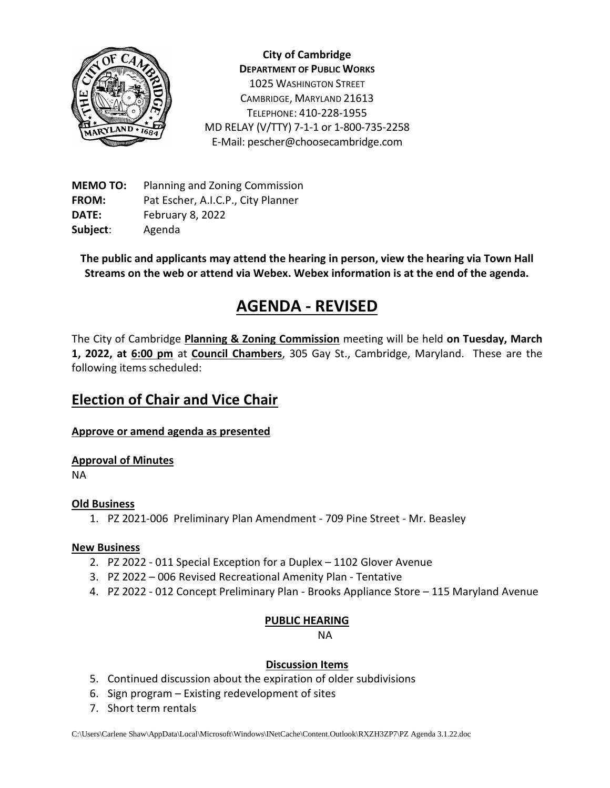

**City of Cambridge DEPARTMENT OF PUBLIC WORKS** 1025 WASHINGTON STREET CAMBRIDGE, MARYLAND 21613 TELEPHONE: 410-228-1955 MD RELAY (V/TTY) 7-1-1 or 1-800-735-2258 E-Mail: pescher@choosecambridge.com

**MEMO TO:** Planning and Zoning Commission **FROM:** Pat Escher, A.I.C.P., City Planner **DATE:** February 8, 2022 **Subject**: Agenda

**The public and applicants may attend the hearing in person, view the hearing via Town Hall Streams on the web or attend via Webex. Webex information is at the end of the agenda.**

# **AGENDA - REVISED**

The City of Cambridge **Planning & Zoning Commission** meeting will be held **on Tuesday, March 1, 2022, at 6:00 pm** at **Council Chambers**, 305 Gay St., Cambridge, Maryland. These are the following items scheduled:

# **Election of Chair and Vice Chair**

### **Approve or amend agenda as presented**

#### **Approval of Minutes**

NA

#### **Old Business**

1. PZ 2021-006 Preliminary Plan Amendment - 709 Pine Street - Mr. Beasley

#### **New Business**

- 2. PZ 2022 011 Special Exception for a Duplex 1102 Glover Avenue
- 3. PZ 2022 006 Revised Recreational Amenity Plan Tentative
- 4. PZ 2022 012 Concept Preliminary Plan Brooks Appliance Store 115 Maryland Avenue

#### **PUBLIC HEARING**

NA

#### **Discussion Items**

- 5. Continued discussion about the expiration of older subdivisions
- 6. Sign program Existing redevelopment of sites
- 7. Short term rentals

C:\Users\Carlene Shaw\AppData\Local\Microsoft\Windows\INetCache\Content.Outlook\RXZH3ZP7\PZ Agenda 3.1.22.doc